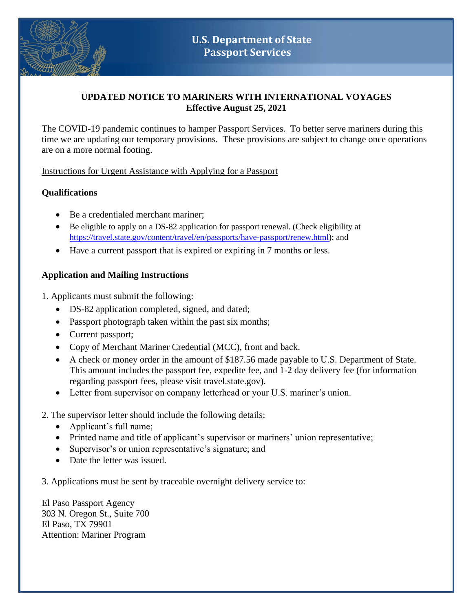

# **UPDATED NOTICE TO MARINERS WITH INTERNATIONAL VOYAGES Effective August 25, 2021**

The COVID-19 pandemic continues to hamper Passport Services. To better serve mariners during this time we are updating our temporary provisions. These provisions are subject to change once operations are on a more normal footing.

Instructions for Urgent Assistance with Applying for a Passport

# **Qualifications**

- Be a credentialed merchant mariner:
- Be eligible to apply on a DS-82 application for passport renewal. (Check eligibility at [https://travel.state.gov/content/travel/en/passports/have-passport/renew.html\)](https://travel.state.gov/content/travel/en/passports/have-passport/renew.html); and
- Have a current passport that is expired or expiring in 7 months or less.

# **Application and Mailing Instructions**

1. Applicants must submit the following:

- DS-82 application completed, signed, and dated;
- Passport photograph taken within the past six months;
- Current passport;
- Copy of Merchant Mariner Credential (MCC), front and back.
- A check or money order in the amount of \$187.56 made payable to U.S. Department of State. This amount includes the passport fee, expedite fee, and 1-2 day delivery fee (for information regarding passport fees, please visit travel.state.gov).
- Letter from supervisor on company letterhead or your U.S. mariner's union.

# 2. The supervisor letter should include the following details:

- Applicant's full name;
- Printed name and title of applicant's supervisor or mariners' union representative;
- Supervisor's or union representative's signature; and
- Date the letter was issued.

3. Applications must be sent by traceable overnight delivery service to:

El Paso Passport Agency 303 N. Oregon St., Suite 700 El Paso, TX 79901 Attention: Mariner Program